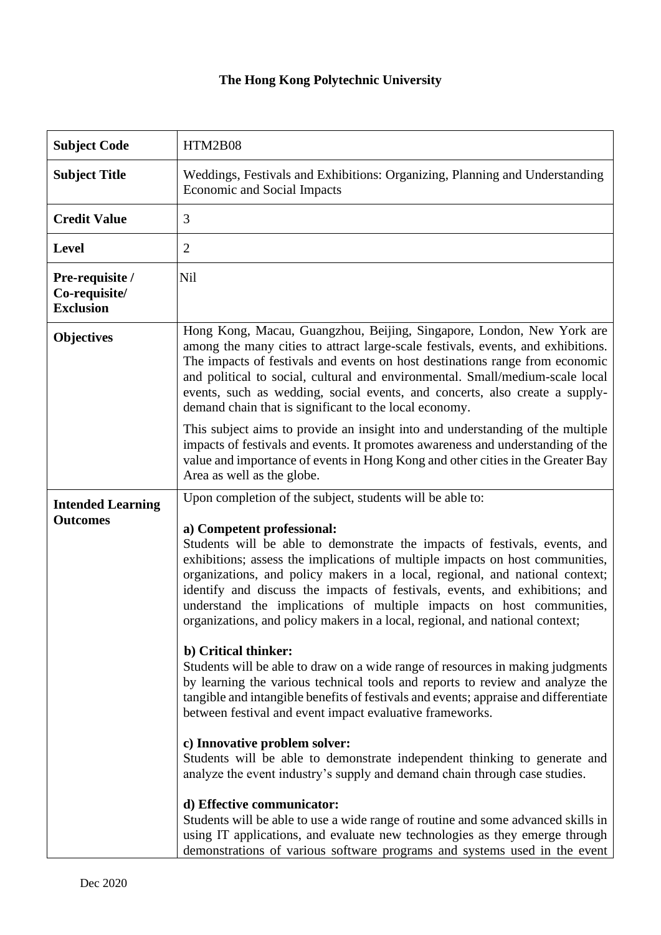## **The Hong Kong Polytechnic University**

| <b>Subject Code</b>                                  | HTM2B08                                                                                                                                                                                                                                                                                                                                                                                                                                                                                                          |
|------------------------------------------------------|------------------------------------------------------------------------------------------------------------------------------------------------------------------------------------------------------------------------------------------------------------------------------------------------------------------------------------------------------------------------------------------------------------------------------------------------------------------------------------------------------------------|
| <b>Subject Title</b>                                 | Weddings, Festivals and Exhibitions: Organizing, Planning and Understanding<br><b>Economic and Social Impacts</b>                                                                                                                                                                                                                                                                                                                                                                                                |
| <b>Credit Value</b>                                  | 3                                                                                                                                                                                                                                                                                                                                                                                                                                                                                                                |
| <b>Level</b>                                         | $\overline{2}$                                                                                                                                                                                                                                                                                                                                                                                                                                                                                                   |
| Pre-requisite /<br>Co-requisite/<br><b>Exclusion</b> | <b>Nil</b>                                                                                                                                                                                                                                                                                                                                                                                                                                                                                                       |
| <b>Objectives</b>                                    | Hong Kong, Macau, Guangzhou, Beijing, Singapore, London, New York are<br>among the many cities to attract large-scale festivals, events, and exhibitions.<br>The impacts of festivals and events on host destinations range from economic<br>and political to social, cultural and environmental. Small/medium-scale local<br>events, such as wedding, social events, and concerts, also create a supply-<br>demand chain that is significant to the local economy.                                              |
|                                                      | This subject aims to provide an insight into and understanding of the multiple<br>impacts of festivals and events. It promotes awareness and understanding of the<br>value and importance of events in Hong Kong and other cities in the Greater Bay<br>Area as well as the globe.                                                                                                                                                                                                                               |
| <b>Intended Learning</b>                             | Upon completion of the subject, students will be able to:                                                                                                                                                                                                                                                                                                                                                                                                                                                        |
| <b>Outcomes</b>                                      | a) Competent professional:<br>Students will be able to demonstrate the impacts of festivals, events, and<br>exhibitions; assess the implications of multiple impacts on host communities,<br>organizations, and policy makers in a local, regional, and national context;<br>identify and discuss the impacts of festivals, events, and exhibitions; and<br>understand the implications of multiple impacts on host communities,<br>organizations, and policy makers in a local, regional, and national context; |
|                                                      | b) Critical thinker:<br>Students will be able to draw on a wide range of resources in making judgments<br>by learning the various technical tools and reports to review and analyze the<br>tangible and intangible benefits of festivals and events; appraise and differentiate<br>between festival and event impact evaluative frameworks.                                                                                                                                                                      |
|                                                      | c) Innovative problem solver:<br>Students will be able to demonstrate independent thinking to generate and<br>analyze the event industry's supply and demand chain through case studies.                                                                                                                                                                                                                                                                                                                         |
|                                                      | d) Effective communicator:<br>Students will be able to use a wide range of routine and some advanced skills in<br>using IT applications, and evaluate new technologies as they emerge through<br>demonstrations of various software programs and systems used in the event                                                                                                                                                                                                                                       |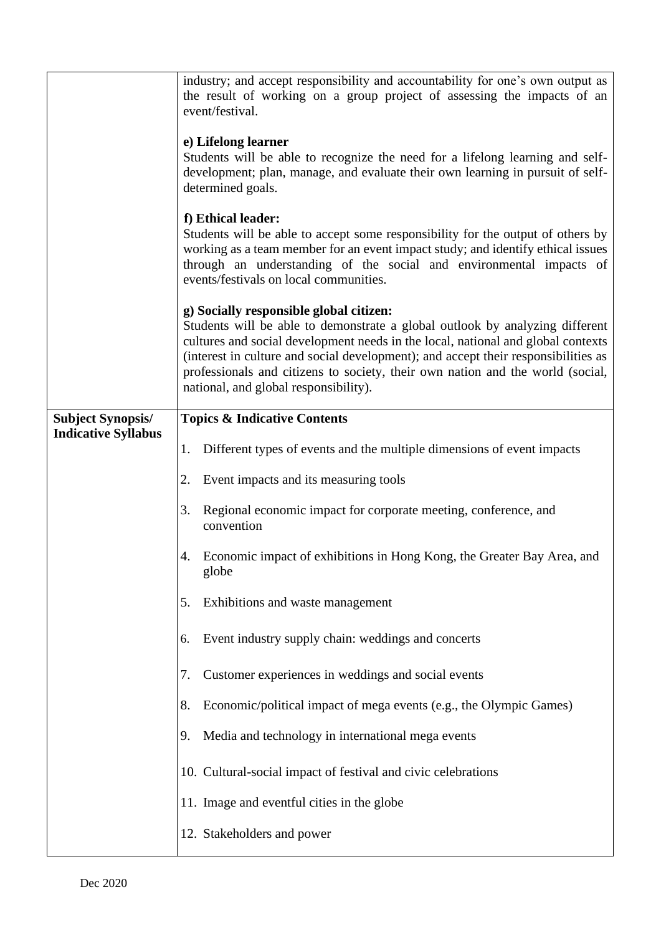|                            | industry; and accept responsibility and accountability for one's own output as<br>the result of working on a group project of assessing the impacts of an<br>event/festival.<br>e) Lifelong learner<br>Students will be able to recognize the need for a lifelong learning and self-<br>development; plan, manage, and evaluate their own learning in pursuit of self-<br>determined goals.<br>f) Ethical leader:<br>Students will be able to accept some responsibility for the output of others by<br>working as a team member for an event impact study; and identify ethical issues<br>through an understanding of the social and environmental impacts of<br>events/festivals on local communities. |
|----------------------------|----------------------------------------------------------------------------------------------------------------------------------------------------------------------------------------------------------------------------------------------------------------------------------------------------------------------------------------------------------------------------------------------------------------------------------------------------------------------------------------------------------------------------------------------------------------------------------------------------------------------------------------------------------------------------------------------------------|
|                            | g) Socially responsible global citizen:<br>Students will be able to demonstrate a global outlook by analyzing different<br>cultures and social development needs in the local, national and global contexts<br>(interest in culture and social development); and accept their responsibilities as<br>professionals and citizens to society, their own nation and the world (social,<br>national, and global responsibility).                                                                                                                                                                                                                                                                             |
| <b>Subject Synopsis/</b>   | <b>Topics &amp; Indicative Contents</b>                                                                                                                                                                                                                                                                                                                                                                                                                                                                                                                                                                                                                                                                  |
| <b>Indicative Syllabus</b> | Different types of events and the multiple dimensions of event impacts<br>1.                                                                                                                                                                                                                                                                                                                                                                                                                                                                                                                                                                                                                             |
|                            | Event impacts and its measuring tools<br>2.                                                                                                                                                                                                                                                                                                                                                                                                                                                                                                                                                                                                                                                              |
|                            | Regional economic impact for corporate meeting, conference, and<br>3.<br>convention                                                                                                                                                                                                                                                                                                                                                                                                                                                                                                                                                                                                                      |
|                            | Economic impact of exhibitions in Hong Kong, the Greater Bay Area, and<br>4.<br>globe                                                                                                                                                                                                                                                                                                                                                                                                                                                                                                                                                                                                                    |
|                            | Exhibitions and waste management<br>5.                                                                                                                                                                                                                                                                                                                                                                                                                                                                                                                                                                                                                                                                   |
|                            | Event industry supply chain: weddings and concerts<br>6.                                                                                                                                                                                                                                                                                                                                                                                                                                                                                                                                                                                                                                                 |
|                            | Customer experiences in weddings and social events<br>7.                                                                                                                                                                                                                                                                                                                                                                                                                                                                                                                                                                                                                                                 |
|                            | Economic/political impact of mega events (e.g., the Olympic Games)<br>8.                                                                                                                                                                                                                                                                                                                                                                                                                                                                                                                                                                                                                                 |
|                            | Media and technology in international mega events<br>9.                                                                                                                                                                                                                                                                                                                                                                                                                                                                                                                                                                                                                                                  |
|                            | 10. Cultural-social impact of festival and civic celebrations                                                                                                                                                                                                                                                                                                                                                                                                                                                                                                                                                                                                                                            |
|                            | 11. Image and eventful cities in the globe                                                                                                                                                                                                                                                                                                                                                                                                                                                                                                                                                                                                                                                               |
|                            | 12. Stakeholders and power                                                                                                                                                                                                                                                                                                                                                                                                                                                                                                                                                                                                                                                                               |